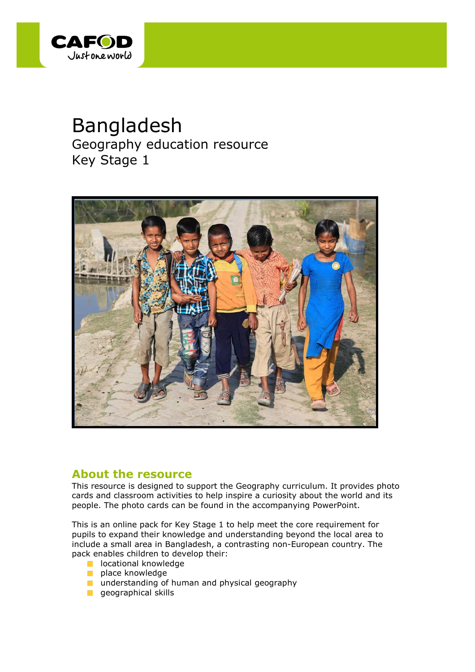

# Bangladesh

Geography education resource Key Stage 1



### **About the resource**

This resource is designed to support the Geography curriculum. It provides photo cards and classroom activities to help inspire a curiosity about the world and its people. The photo cards can be found in the accompanying PowerPoint.

This is an online pack for Key Stage 1 to help meet the core requirement for pupils to expand their knowledge and understanding beyond the local area to include a small area in Bangladesh, a contrasting non-European country. The pack enables children to develop their:

- **lacational knowledge**
- **place knowledge**
- **understanding of human and physical geography**
- geographical skills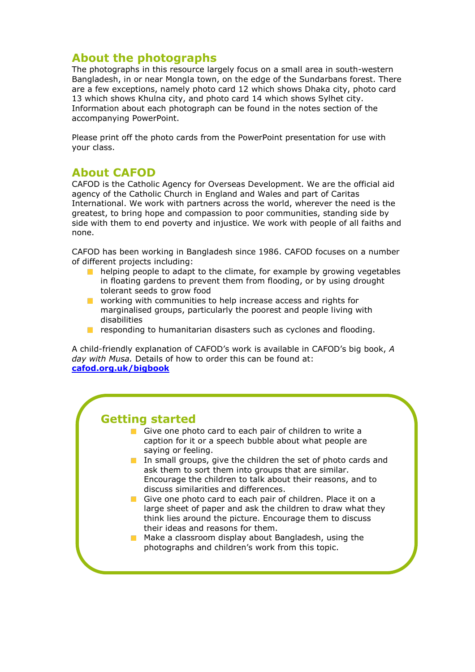### **About the photographs**

The photographs in this resource largely focus on a small area in south-western Bangladesh, in or near Mongla town, on the edge of the Sundarbans forest. There are a few exceptions, namely photo card 12 which shows Dhaka city, photo card 13 which shows Khulna city, and photo card 14 which shows Sylhet city. Information about each photograph can be found in the notes section of the accompanying PowerPoint.

Please print off the photo cards from the PowerPoint presentation for use with your class.

### **About CAFOD**

CAFOD is the Catholic Agency for Overseas Development. We are the official aid agency of the Catholic Church in England and Wales and part of Caritas International. We work with partners across the world, wherever the need is the greatest, to bring hope and compassion to poor communities, standing side by side with them to end poverty and injustice. We work with people of all faiths and none.

CAFOD has been working in Bangladesh since 1986. CAFOD focuses on a number of different projects including:

- helping people to adapt to the climate, for example by growing vegetables  $\mathcal{L}^{\mathcal{A}}$ in floating gardens to prevent them from flooding, or by using drought tolerant seeds to grow food
- **Now** working with communities to help increase access and rights for marginalised groups, particularly the poorest and people living with disabilities
- responding to humanitarian disasters such as cyclones and flooding.  $\mathcal{L}_{\mathcal{A}}$

A child-friendly explanation of CAFOD's work is available in CAFOD's big book, *A day with Musa.* Details of how to order this can be found at: **[cafod.org.uk/bigbook](http://www.cafod.org.uk/Education/Primary-schools/Big-book)**

### **Getting started**

- Give one photo card to each pair of children to write a caption for it or a speech bubble about what people are saying or feeling.
- In small groups, give the children the set of photo cards and ask them to sort them into groups that are similar. Encourage the children to talk about their reasons, and to discuss similarities and differences.
- Give one photo card to each pair of children. Place it on a large sheet of paper and ask the children to draw what they think lies around the picture. Encourage them to discuss their ideas and reasons for them.
- $\blacksquare$  Make a classroom display about Bangladesh, using the photographs and children's work from this topic.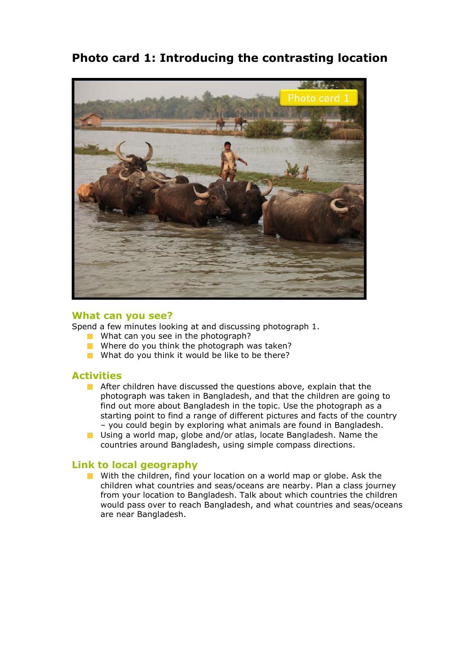# **Photo card 1: Introducing the contrasting location**



#### **What can you see?**

Spend a few minutes looking at and discussing photograph 1.

- What can you see in the photograph?
- Where do you think the photograph was taken?
- What do you think it would be like to be there?

#### **Activities**

- After children have discussed the questions above, explain that the photograph was taken in Bangladesh, and that the children are going to find out more about Bangladesh in the topic. Use the photograph as a starting point to find a range of different pictures and facts of the country – you could begin by exploring what animals are found in Bangladesh.
- **Using a world map, globe and/or atlas, locate Bangladesh. Name the** countries around Bangladesh, using simple compass directions.

#### **Link to local geography**

With the children, find your location on a world map or globe. Ask the children what countries and seas/oceans are nearby. Plan a class journey from your location to Bangladesh. Talk about which countries the children would pass over to reach Bangladesh, and what countries and seas/oceans are near Bangladesh.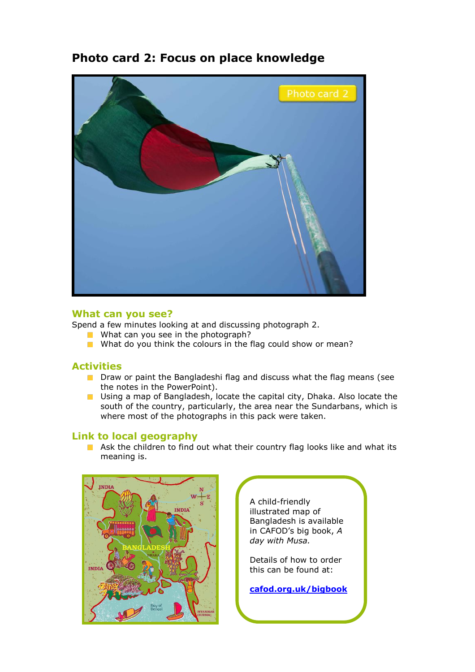# **Photo card 2: Focus on place knowledge**



#### **What can you see?**

Spend a few minutes looking at and discussing photograph 2.

- What can you see in the photograph?
- What do you think the colours in the flag could show or mean?

#### **Activities**

- **Draw or paint the Bangladeshi flag and discuss what the flag means (see** the notes in the PowerPoint).
- **Using a map of Bangladesh, locate the capital city, Dhaka. Also locate the** south of the country, particularly, the area near the Sundarbans, which is where most of the photographs in this pack were taken.

#### **Link to local geography**

Ask the children to find out what their country flag looks like and what its meaning is.



A child-friendly illustrated map of Bangladesh is available in CAFOD's big book, *A day with Musa.*

Details of how to order this can be found at:

**[cafod.org.uk/bigbook](http://www.cafod.org.uk/Education/Primary-schools/Big-book)**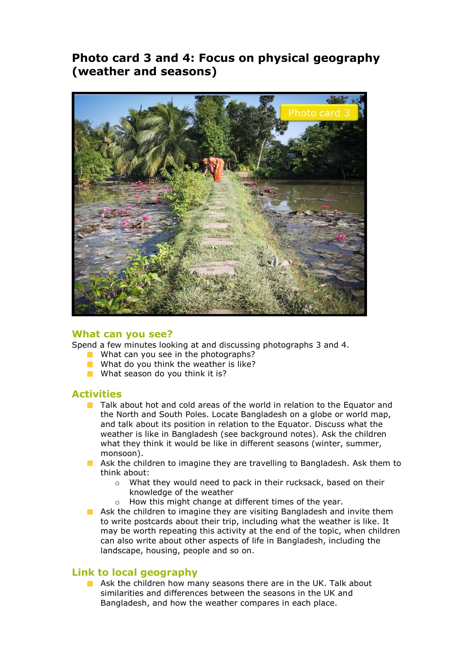# **Photo card 3 and 4: Focus on physical geography (weather and seasons)**



#### **What can you see?**

Spend a few minutes looking at and discussing photographs 3 and 4.

- What can you see in the photographs?
- What do you think the weather is like?
- **No.** What season do you think it is?

#### **Activities**

- **The Talk about hot and cold areas of the world in relation to the Equator and** the North and South Poles. Locate Bangladesh on a globe or world map, and talk about its position in relation to the Equator. Discuss what the weather is like in Bangladesh (see background notes). Ask the children what they think it would be like in different seasons (winter, summer, monsoon).
- **Ask the children to imagine they are travelling to Bangladesh. Ask them to** think about:
	- o What they would need to pack in their rucksack, based on their knowledge of the weather
	- o How this might change at different times of the year.
- **Ask the children to imagine they are visiting Bangladesh and invite them** to write postcards about their trip, including what the weather is like. It may be worth repeating this activity at the end of the topic, when children can also write about other aspects of life in Bangladesh, including the landscape, housing, people and so on.

#### **Link to local geography**

Ask the children how many seasons there are in the UK. Talk about similarities and differences between the seasons in the UK and Bangladesh, and how the weather compares in each place.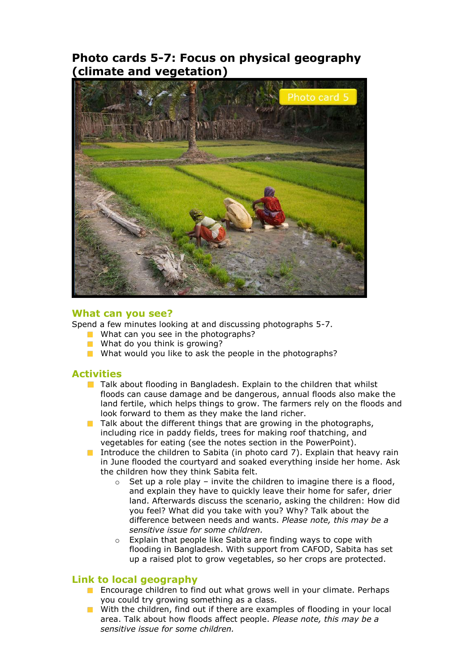### **Photo cards 5-7: Focus on physical geography (climate and vegetation)**



#### **What can you see?**

Spend a few minutes looking at and discussing photographs 5-7.

- What can you see in the photographs?
- **No. 2.5 What do you think is growing?**
- What would you like to ask the people in the photographs?

#### **Activities**

- $\blacksquare$  Talk about flooding in Bangladesh. Explain to the children that whilst floods can cause damage and be dangerous, annual floods also make the land fertile, which helps things to grow. The farmers rely on the floods and look forward to them as they make the land richer.
- Talk about the different things that are growing in the photographs, including rice in paddy fields, trees for making roof thatching, and vegetables for eating (see the notes section in the PowerPoint).
- Introduce the children to Sabita (in photo card  $(7)$ ). Explain that heavy rain in June flooded the courtyard and soaked everything inside her home. Ask the children how they think Sabita felt.
	- $\circ$  Set up a role play invite the children to imagine there is a flood, and explain they have to quickly leave their home for safer, drier land. Afterwards discuss the scenario, asking the children: How did you feel? What did you take with you? Why? Talk about the difference between needs and wants. *Please note, this may be a sensitive issue for some children.*
	- o Explain that people like Sabita are finding ways to cope with flooding in Bangladesh. With support from CAFOD, Sabita has set up a raised plot to grow vegetables, so her crops are protected.

#### **Link to local geography**

- **Encourage children to find out what grows well in your climate. Perhaps** you could try growing something as a class.
- **Notable 1** With the children, find out if there are examples of flooding in your local area. Talk about how floods affect people. *Please note, this may be a sensitive issue for some children.*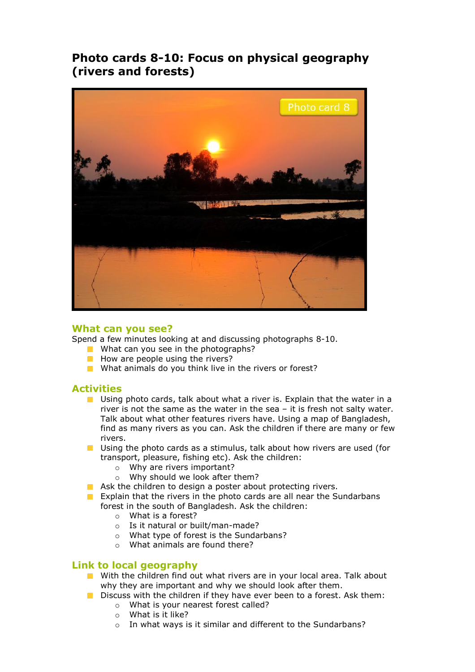# **Photo cards 8-10: Focus on physical geography (rivers and forests)**



#### **What can you see?**

Spend a few minutes looking at and discussing photographs 8-10.

- What can you see in the photographs?
- $\blacksquare$  How are people using the rivers?
- What animals do you think live in the rivers or forest?

#### **Activities**

- **Using photo cards, talk about what a river is. Explain that the water in a** river is not the same as the water in the sea – it is fresh not salty water. Talk about what other features rivers have. Using a map of Bangladesh, find as many rivers as you can. Ask the children if there are many or few rivers.
- **D** Using the photo cards as a stimulus, talk about how rivers are used (for transport, pleasure, fishing etc). Ask the children:
	- o Why are rivers important?
	- o Why should we look after them?
- Ask the children to design a poster about protecting rivers.
- Explain that the rivers in the photo cards are all near the Sundarbans forest in the south of Bangladesh. Ask the children:
	- o What is a forest?
	- o Is it natural or built/man-made?
	- o What type of forest is the Sundarbans?
	- o What animals are found there?

#### **Link to local geography**

- **Now** With the children find out what rivers are in your local area. Talk about why they are important and why we should look after them.
- Discuss with the children if they have ever been to a forest. Ask them:
	- o What is your nearest forest called?
	- o What is it like?
	- o In what ways is it similar and different to the Sundarbans?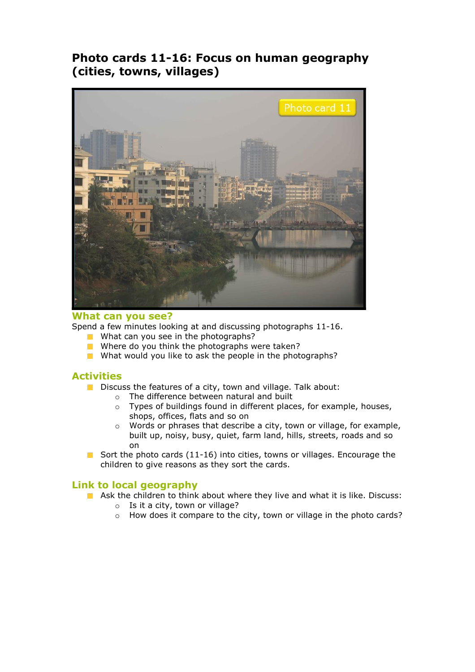# **Photo cards 11-16: Focus on human geography (cities, towns, villages)**



#### **What can you see?**

Spend a few minutes looking at and discussing photographs 11-16.

- What can you see in the photographs?  $\mathcal{C}^{\mathcal{A}}$
- Where do you think the photographs were taken?
- What would you like to ask the people in the photographs?

#### **Activities**

- Discuss the features of a city, town and village. Talk about:
	- o The difference between natural and built
	- o Types of buildings found in different places, for example, houses, shops, offices, flats and so on
	- o Words or phrases that describe a city, town or village, for example, built up, noisy, busy, quiet, farm land, hills, streets, roads and so on
- Sort the photo cards  $(11-16)$  into cities, towns or villages. Encourage the children to give reasons as they sort the cards.

#### **Link to local geography**

- **Ask the children to think about where they live and what it is like. Discuss:** 
	- $\circ$  Is it a city, town or village?
	- o How does it compare to the city, town or village in the photo cards?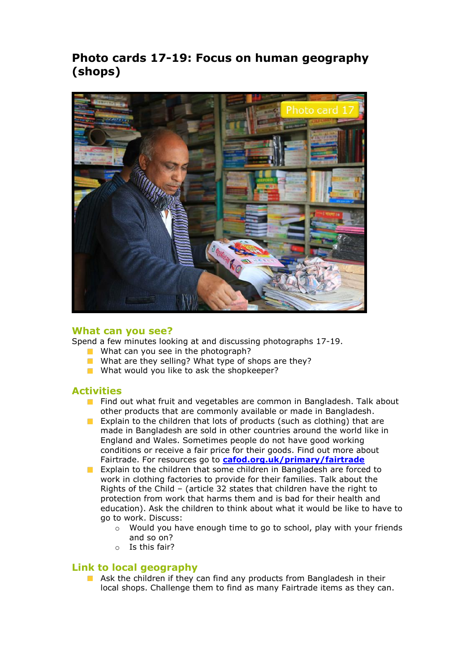# **Photo cards 17-19: Focus on human geography (shops)**



#### **What can you see?**

Spend a few minutes looking at and discussing photographs 17-19.

- What can you see in the photograph?
- What are they selling? What type of shops are they?
- What would you like to ask the shopkeeper?

#### **Activities**

- **Find out what fruit and vegetables are common in Bangladesh. Talk about** other products that are commonly available or made in Bangladesh.
- Explain to the children that lots of products (such as clothing) that are  $\mathcal{L}^{\mathcal{L}}$ made in Bangladesh are sold in other countries around the world like in England and Wales. Sometimes people do not have good working conditions or receive a fair price for their goods. Find out more about Fairtrade. For resources go to **[cafod.org.uk/primary/fairtrade](http://www.cafod.org.uk/Education/Primary-schools/Fair-trade)**
- Explain to the children that some children in Bangladesh are forced to  $\mathcal{L}_{\mathcal{A}}$ work in clothing factories to provide for their families. Talk about the Rights of the Child – (article 32 states that children have the right to protection from work that harms them and is bad for their health and education). Ask the children to think about what it would be like to have to go to work. Discuss:
	- o Would you have enough time to go to school, play with your friends and so on?
	- o Is this fair?

#### **Link to local geography**

Ask the children if they can find any products from Bangladesh in their local shops. Challenge them to find as many Fairtrade items as they can.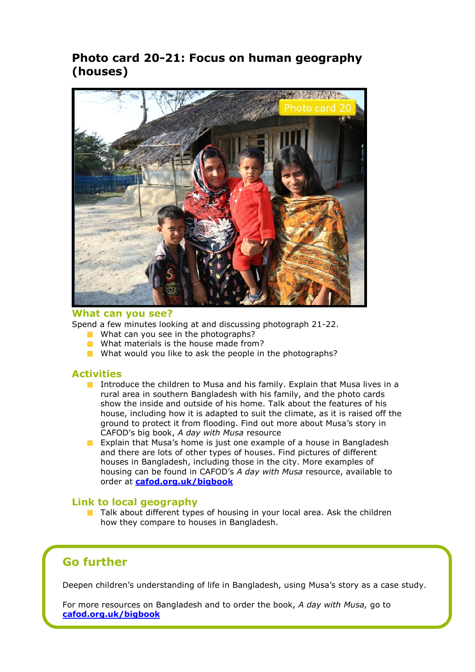# **Photo card 20-21: Focus on human geography (houses)**



#### **What can you see?**

Spend a few minutes looking at and discussing photograph 21-22.

- What can you see in the photographs?
- What materials is the house made from?
- What would you like to ask the people in the photographs?

#### **Activities**

- Introduce the children to Musa and his family. Explain that Musa lives in a rural area in southern Bangladesh with his family, and the photo cards show the inside and outside of his home. Talk about the features of his house, including how it is adapted to suit the climate, as it is raised off the ground to protect it from flooding. Find out more about Musa's story in CAFOD's big book, *A day with Musa* resource
- **Explain that Musa's home is just one example of a house in Bangladesh** and there are lots of other types of houses. Find pictures of different houses in Bangladesh, including those in the city. More examples of housing can be found in CAFOD's *A day with Musa* resource, available to order at **[cafod.org.uk/bigbook](http://www.cafod.org.uk/Education/Primary-schools/Big-book)**

#### **Link to local geography**

 $\blacksquare$  Talk about different types of housing in your local area. Ask the children how they compare to houses in Bangladesh.

### **Go further**

Deepen children's understanding of life in Bangladesh, using Musa's story as a case study.

For more resources on Bangladesh and to order the book, *A day with Musa,* go to **[cafod.org.uk/bigbook](http://www.cafod.org.uk/Education/Primary-schools/Big-book)**